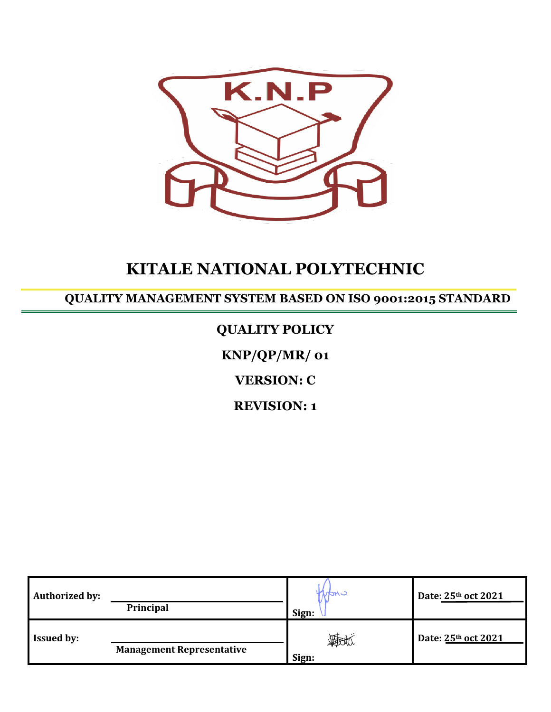

# **KITALE NATIONAL POLYTECHNIC**

**QUALITY MANAGEMENT SYSTEM BASED ON ISO 9001:2015 STANDARD**

### **QUALITY POLICY**

**KNP/QP/MR/ 01**

**VERSION: C**

**REVISION: 1**

| <b>Authorized by:</b> | <b>Principal</b>                 | nanc<br>Sign:          | Date: 25th oct 2021 |
|-----------------------|----------------------------------|------------------------|---------------------|
| <b>Issued by:</b>     | <b>Management Representative</b> | <b>FEESTA</b><br>Sign: | Date: 25th oct 2021 |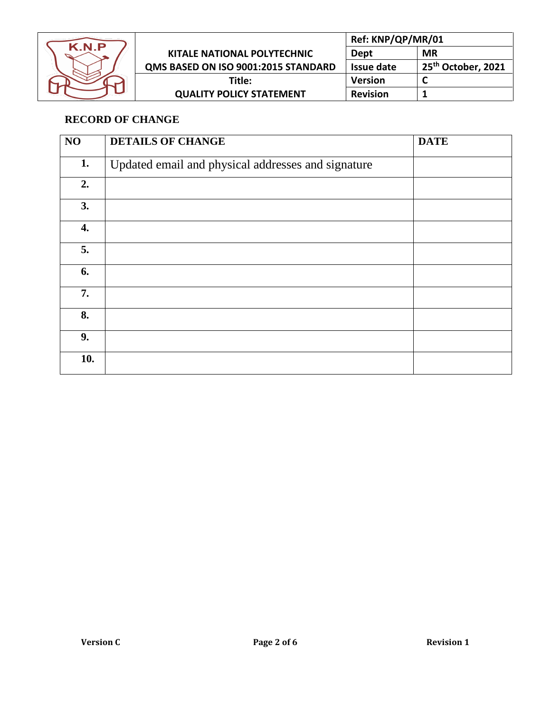

|                                     | Ref: KNP/QP/MR/01 |                                |
|-------------------------------------|-------------------|--------------------------------|
| <b>KITALE NATIONAL POLYTECHNIC</b>  | Dept              | <b>MR</b>                      |
| QMS BASED ON ISO 9001:2015 STANDARD | Issue date        | 25 <sup>th</sup> October, 2021 |
| Title:                              | <b>Version</b>    |                                |
| <b>QUALITY POLICY STATEMENT</b>     | <b>Revision</b>   |                                |

#### **RECORD OF CHANGE**

| NO  | <b>DETAILS OF CHANGE</b>                           | <b>DATE</b> |
|-----|----------------------------------------------------|-------------|
| 1.  | Updated email and physical addresses and signature |             |
| 2.  |                                                    |             |
| 3.  |                                                    |             |
| 4.  |                                                    |             |
| 5.  |                                                    |             |
| 6.  |                                                    |             |
| 7.  |                                                    |             |
| 8.  |                                                    |             |
| 9.  |                                                    |             |
| 10. |                                                    |             |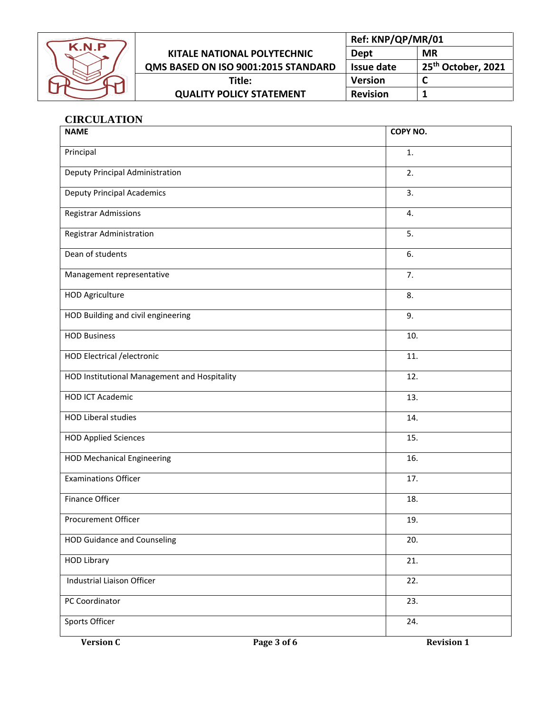

|                                     | Ref: KNP/QP/MR/01 |                                |
|-------------------------------------|-------------------|--------------------------------|
| KITALE NATIONAL POLYTECHNIC         | Dept              | MR                             |
| QMS BASED ON ISO 9001:2015 STANDARD | <b>Issue date</b> | 25 <sup>th</sup> October, 2021 |
| Title:                              | <b>Version</b>    |                                |
| <b>QUALITY POLICY STATEMENT</b>     | <b>Revision</b>   |                                |

#### **CIRCULATION**

| <b>NAME</b>                                  |             | COPY NO.          |
|----------------------------------------------|-------------|-------------------|
| Principal                                    |             | 1.                |
| Deputy Principal Administration              |             | 2.                |
| <b>Deputy Principal Academics</b>            |             | 3.                |
| Registrar Admissions                         |             | 4.                |
| Registrar Administration                     |             | 5.                |
| Dean of students                             |             | 6.                |
| Management representative                    |             | 7.                |
| <b>HOD Agriculture</b>                       |             | 8.                |
| HOD Building and civil engineering           |             | 9.                |
| <b>HOD Business</b>                          |             | 10.               |
| HOD Electrical / electronic                  |             | 11.               |
| HOD Institutional Management and Hospitality |             | 12.               |
| <b>HOD ICT Academic</b>                      |             | 13.               |
| <b>HOD Liberal studies</b>                   |             | 14.               |
| <b>HOD Applied Sciences</b>                  |             | 15.               |
| <b>HOD Mechanical Engineering</b>            |             | 16.               |
| <b>Examinations Officer</b>                  |             | 17.               |
| <b>Finance Officer</b>                       |             | 18.               |
| <b>Procurement Officer</b>                   |             | 19.               |
| <b>HOD Guidance and Counseling</b>           |             | 20.               |
| <b>HOD Library</b>                           |             | 21.               |
| Industrial Liaison Officer                   |             | 22.               |
| PC Coordinator                               |             | 23.               |
| Sports Officer                               |             | 24.               |
| <b>Version C</b>                             | Page 3 of 6 | <b>Revision 1</b> |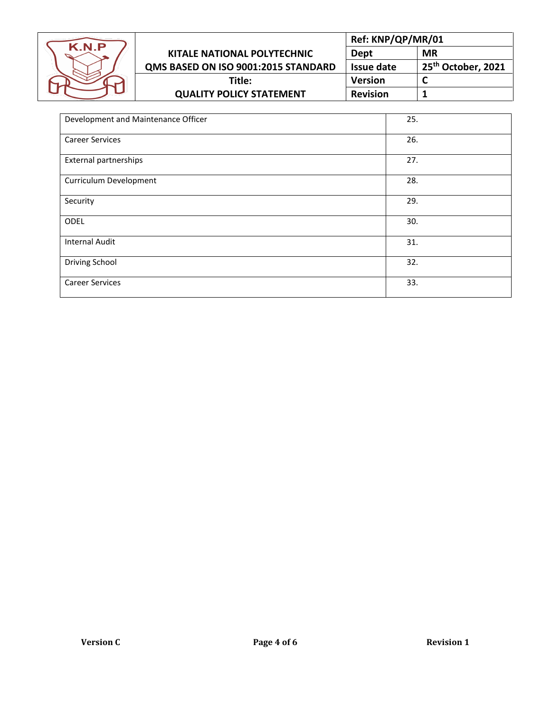

|                                     | Ref: KNP/QP/MR/01 |                                |
|-------------------------------------|-------------------|--------------------------------|
| <b>KITALE NATIONAL POLYTECHNIC</b>  | Dept              | <b>MR</b>                      |
| QMS BASED ON ISO 9001:2015 STANDARD | Issue date        | 25 <sup>th</sup> October, 2021 |
| Title:                              | <b>Version</b>    |                                |
| <b>QUALITY POLICY STATEMENT</b>     | <b>Revision</b>   |                                |

| Development and Maintenance Officer | 25. |
|-------------------------------------|-----|
| <b>Career Services</b>              | 26. |
| <b>External partnerships</b>        | 27. |
| Curriculum Development              | 28. |
| Security                            | 29. |
| ODEL                                | 30. |
| <b>Internal Audit</b>               | 31. |
| <b>Driving School</b>               | 32. |
| <b>Career Services</b>              | 33. |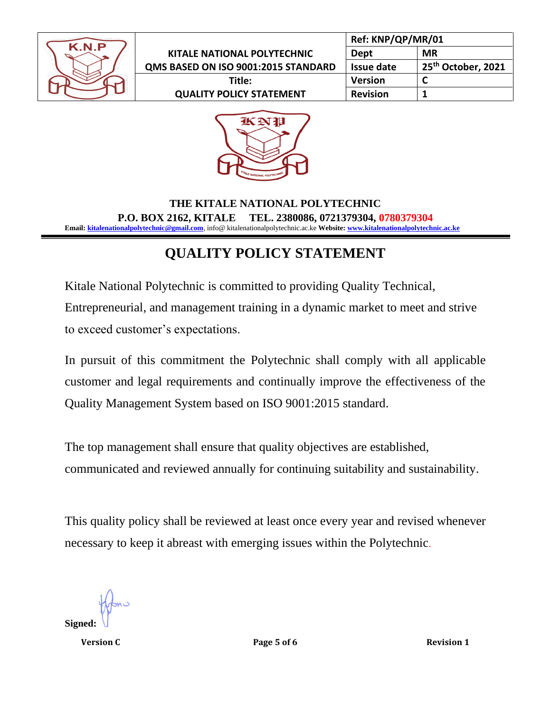

|                                     | Ref: KNP/QP/MR/01 |                                |
|-------------------------------------|-------------------|--------------------------------|
| KITALE NATIONAL POLYTECHNIC         | Dept              | <b>MR</b>                      |
| QMS BASED ON ISO 9001:2015 STANDARD | Issue date        | 25 <sup>th</sup> October, 2021 |
| Title:                              | <b>Version</b>    |                                |
| <b>QUALITY POLICY STATEMENT</b>     | <b>Revision</b>   |                                |



#### **THE KITALE NATIONAL POLYTECHNIC P.O. BOX 2162, KITALE TEL. 2380086, 0721379304, 0780379304 Email[: kitalenationalpolytechnic@gmail.com](mailto:kitalenationalpolytechnic@gmail.com)**, info@ kitalenationalpolytechnic.ac.ke **Website[: www.kitalenationalpolytechnic.ac.ke](http://www.kitalenationalpolytechnic.ac.ke/)**

## **QUALITY POLICY STATEMENT**

Kitale National Polytechnic is committed to providing Quality Technical, Entrepreneurial, and management training in a dynamic market to meet and strive to exceed customer's expectations.

In pursuit of this commitment the Polytechnic shall comply with all applicable customer and legal requirements and continually improve the effectiveness of the Quality Management System based on ISO 9001:2015 standard.

The top management shall ensure that quality objectives are established, communicated and reviewed annually for continuing suitability and sustainability.

This quality policy shall be reviewed at least once every year and revised whenever necessary to keep it abreast with emerging issues within the Polytechnic.

**Signed:**